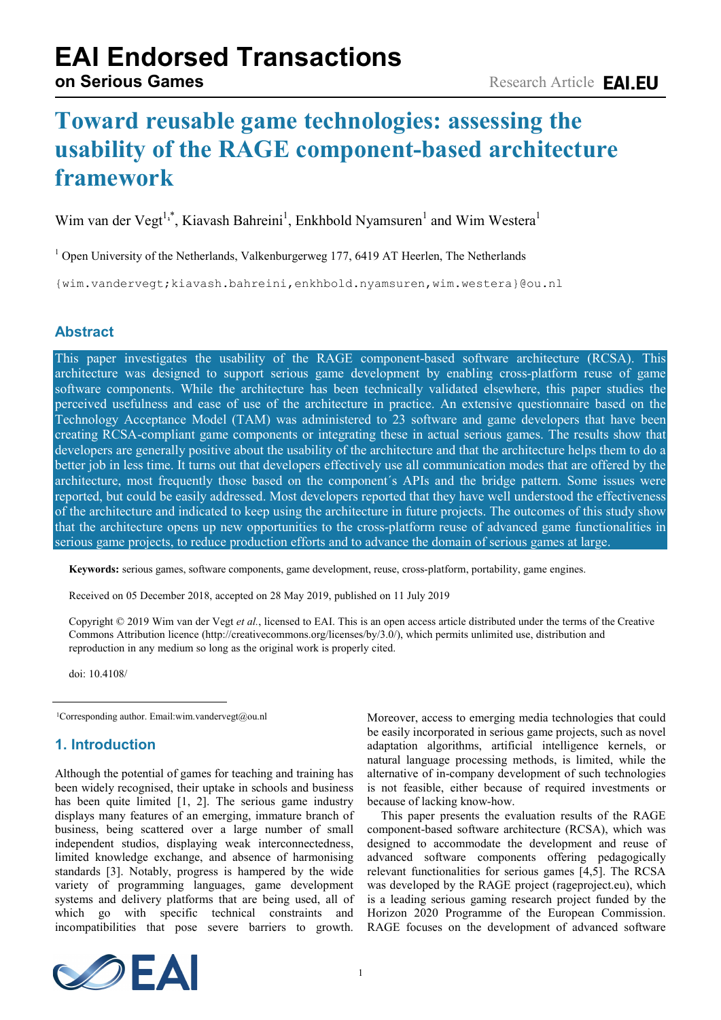# **EAI Endorsed Transactions**

## **Toward reusable game technologies: assessing the usability of the RAGE component-based architecture framework**

Wim van der Vegt<sup>1,\*</sup>, Kiavash Bahreini<sup>1</sup>, Enkhbold Nyamsuren<sup>1</sup> and Wim Westera<sup>1</sup>

 $1$  Open University of the Netherlands, Valkenburgerweg 177, 6419 AT Heerlen, The Netherlands

{wim.vandervegt;kiavash.bahreini,enkhbold.nyamsuren,wim.westera}@ou.nl

## **Abstract**

This paper investigates the usability of the RAGE component-based software architecture (RCSA). This architecture was designed to support serious game development by enabling cross-platform reuse of game software components. While the architecture has been technically validated elsewhere, this paper studies the perceived usefulness and ease of use of the architecture in practice. An extensive questionnaire based on the Technology Acceptance Model (TAM) was administered to 23 software and game developers that have been creating RCSA-compliant game components or integrating these in actual serious games. The results show that developers are generally positive about the usability of the architecture and that the architecture helps them to do a better job in less time. It turns out that developers effectively use all communication modes that are offered by the architecture, most frequently those based on the component´s APIs and the bridge pattern. Some issues were reported, but could be easily addressed. Most developers reported that they have well understood the effectiveness of the architecture and indicated to keep using the architecture in future projects. The outcomes of this study show that the architecture opens up new opportunities to the cross-platform reuse of advanced game functionalities in serious game projects, to reduce production efforts and to advance the domain of serious games at large.

**Keywords:** serious games, software components, game development, reuse, cross-platform, portability, game engines.

Received on 05 December 2018, accepted on 28 May 2019, published on 11 July 2019

Copyright © 2019 Wim van der Vegt *et al.*, licensed to EAI. This is an open access article distributed under the terms of the Creative Commons Attribution licence (http://creativecommons.org/licenses/by/3.0/), which permits unlimited use, distribution and reproduction in any medium so long as the original work is properly cited.

doi: 10.4108/

<sup>1</sup>Corresponding author. Email:wim.vandervegt@ou.nl

## **1. Introduction**

Although the potential of games for teaching and training has been widely recognised, their uptake in schools and business has been quite limited [1, 2]. The serious game industry displays many features of an emerging, immature branch of business, being scattered over a large number of small independent studios, displaying weak interconnectedness, limited knowledge exchange, and absence of harmonising standards [3]. Notably, progress is hampered by the wide variety of programming languages, game development systems and delivery platforms that are being used, all of which go with specific technical constraints and incompatibilities that pose severe barriers to growth.

Moreover, access to emerging media technologies that could be easily incorporated in serious game projects, such as novel adaptation algorithms, artificial intelligence kernels, or natural language processing methods, is limited, while the alternative of in-company development of such technologies is not feasible, either because of required investments or because of lacking know-how.

This paper presents the evaluation results of the RAGE component-based software architecture (RCSA), which was designed to accommodate the development and reuse of advanced software components offering pedagogically relevant functionalities for serious games [4,5]. The RCSA was developed by the RAGE project (rageproject.eu), which is a leading serious gaming research project funded by the Horizon 2020 Programme of the European Commission. RAGE focuses on the development of advanced software

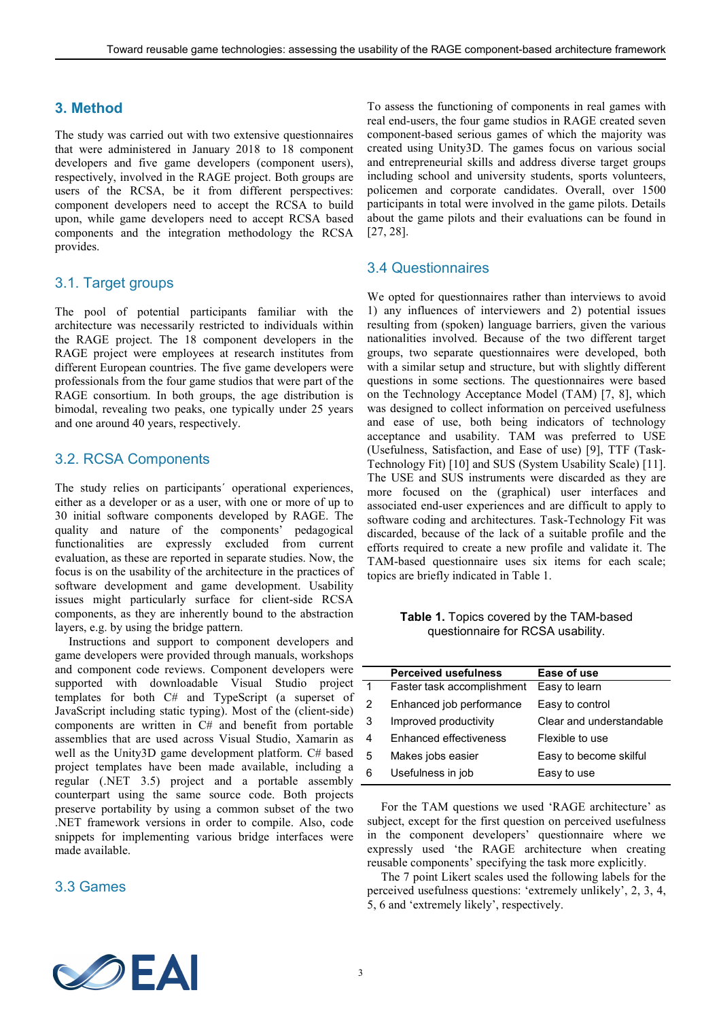## **3. Method**

The study was carried out with two extensive questionnaires that were administered in January 2018 to 18 component developers and five game developers (component users), respectively, involved in the RAGE project. Both groups are users of the RCSA, be it from different perspectives: component developers need to accept the RCSA to build upon, while game developers need to accept RCSA based components and the integration methodology the RCSA provides.

## 3.1. Target groups

The pool of potential participants familiar with the architecture was necessarily restricted to individuals within the RAGE project. The 18 component developers in the RAGE project were employees at research institutes from different European countries. The five game developers were professionals from the four game studios that were part of the RAGE consortium. In both groups, the age distribution is bimodal, revealing two peaks, one typically under 25 years and one around 40 years, respectively.

## 3.2. RCSA Components

The study relies on participants´ operational experiences, either as a developer or as a user, with one or more of up to 30 initial software components developed by RAGE. The quality and nature of the components' pedagogical functionalities are expressly excluded from current evaluation, as these are reported in separate studies. Now, the focus is on the usability of the architecture in the practices of software development and game development. Usability issues might particularly surface for client-side RCSA components, as they are inherently bound to the abstraction layers, e.g. by using the bridge pattern.

Instructions and support to component developers and game developers were provided through manuals, workshops and component code reviews. Component developers were supported with downloadable Visual Studio project templates for both C# and TypeScript (a superset of JavaScript including static typing). Most of the (client-side) components are written in C# and benefit from portable assemblies that are used across Visual Studio, Xamarin as well as the Unity3D game development platform. C# based project templates have been made available, including a regular (.NET 3.5) project and a portable assembly counterpart using the same source code. Both projects preserve portability by using a common subset of the two .NET framework versions in order to compile. Also, code snippets for implementing various bridge interfaces were made available.

#### 3.3 Games

To assess the functioning of components in real games with real end-users, the four game studios in RAGE created seven component-based serious games of which the majority was created using Unity3D. The games focus on various social and entrepreneurial skills and address diverse target groups including school and university students, sports volunteers, policemen and corporate candidates. Overall, over 1500 participants in total were involved in the game pilots. Details about the game pilots and their evaluations can be found in [27, 28].

#### 3.4 Questionnaires

We opted for questionnaires rather than interviews to avoid 1) any influences of interviewers and 2) potential issues resulting from (spoken) language barriers, given the various nationalities involved. Because of the two different target groups, two separate questionnaires were developed, both with a similar setup and structure, but with slightly different questions in some sections. The questionnaires were based on the Technology Acceptance Model (TAM) [7, 8], which was designed to collect information on perceived usefulness and ease of use, both being indicators of technology acceptance and usability. TAM was preferred to USE (Usefulness, Satisfaction, and Ease of use) [9], TTF (Task-Technology Fit) [10] and SUS (System Usability Scale) [11]. The USE and SUS instruments were discarded as they are more focused on the (graphical) user interfaces and associated end-user experiences and are difficult to apply to software coding and architectures. Task-Technology Fit was discarded, because of the lack of a suitable profile and the efforts required to create a new profile and validate it. The TAM-based questionnaire uses six items for each scale; topics are briefly indicated in Table 1.

**Table 1.** Topics covered by the TAM-based questionnaire for RCSA usability.

|             | <b>Perceived usefulness</b> | Ease of use              |
|-------------|-----------------------------|--------------------------|
| $\mathbf 1$ | Faster task accomplishment  | Easy to learn            |
| 2           | Enhanced job performance    | Easy to control          |
| 3           | Improved productivity       | Clear and understandable |
| 4           | Enhanced effectiveness      | Flexible to use          |
| 5           | Makes jobs easier           | Easy to become skilful   |
| 6           | Usefulness in job           | Easy to use              |
|             |                             |                          |

For the TAM questions we used 'RAGE architecture' as subject, except for the first question on perceived usefulness in the component developers' questionnaire where we expressly used 'the RAGE architecture when creating reusable components' specifying the task more explicitly.

The 7 point Likert scales used the following labels for the perceived usefulness questions: 'extremely unlikely', 2, 3, 4, 5, 6 and 'extremely likely', respectively.

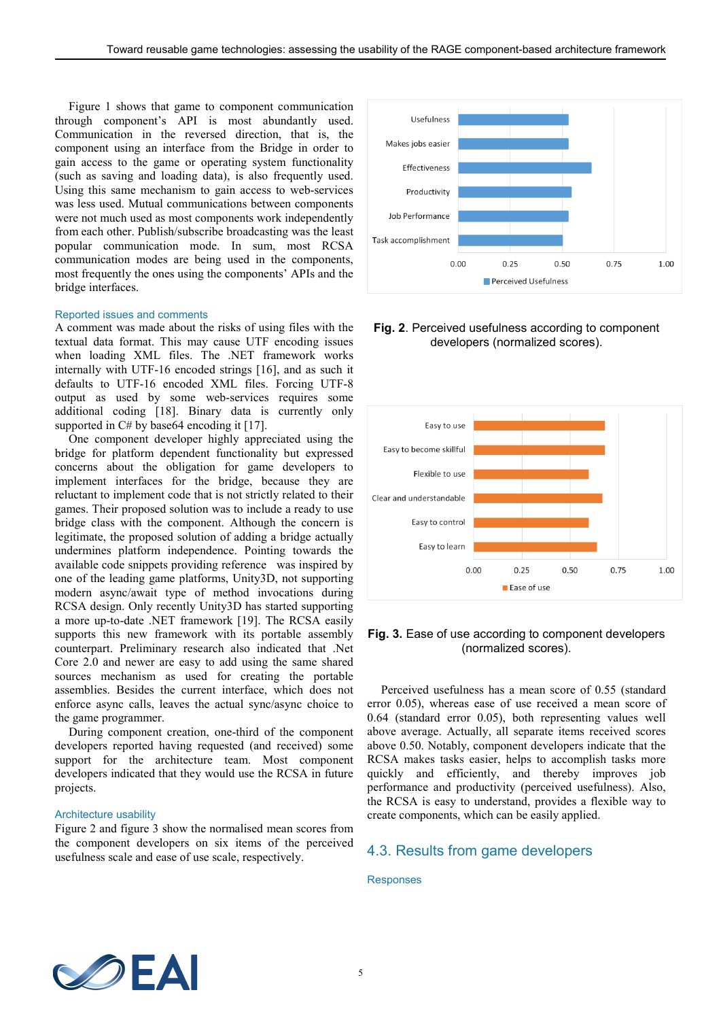Figure 1 shows that game to component communication through component's API is most abundantly used. Communication in the reversed direction, that is, the component using an interface from the Bridge in order to gain access to the game or operating system functionality (such as saving and loading data), is also frequently used. Using this same mechanism to gain access to web-services was less used. Mutual communications between components were not much used as most components work independently from each other. Publish/subscribe broadcasting was the least popular communication mode. In sum, most RCSA communication modes are being used in the components, most frequently the ones using the components' APIs and the bridge interfaces.

#### Reported issues and comments

A comment was made about the risks of using files with the textual data format. This may cause UTF encoding issues when loading XML files. The .NET framework works internally with UTF-16 encoded strings [16], and as such it defaults to UTF-16 encoded XML files. Forcing UTF-8 output as used by some web-services requires some additional coding [18]. Binary data is currently only supported in C# by base64 encoding it [17].

One component developer highly appreciated using the bridge for platform dependent functionality but expressed concerns about the obligation for game developers to implement interfaces for the bridge, because they are reluctant to implement code that is not strictly related to their games. Their proposed solution was to include a ready to use bridge class with the component. Although the concern is legitimate, the proposed solution of adding a bridge actually undermines platform independence. Pointing towards the available code snippets providing reference was inspired by one of the leading game platforms, Unity3D, not supporting modern async/await type of method invocations during RCSA design. Only recently Unity3D has started supporting a more up-to-date .NET framework [19]. The RCSA easily supports this new framework with its portable assembly counterpart. Preliminary research also indicated that .Net Core 2.0 and newer are easy to add using the same shared sources mechanism as used for creating the portable assemblies. Besides the current interface, which does not enforce async calls, leaves the actual sync/async choice to the game programmer.

During component creation, one-third of the component developers reported having requested (and received) some support for the architecture team. Most component developers indicated that they would use the RCSA in future projects.

#### Architecture usability

Figure 2 and figure 3 show the normalised mean scores from the component developers on six items of the perceived usefulness scale and ease of use scale, respectively.



#### **Fig. 2**. Perceived usefulness according to component developers (normalized scores).



#### **Fig. 3.** Ease of use according to component developers (normalized scores).

Perceived usefulness has a mean score of 0.55 (standard error 0.05), whereas ease of use received a mean score of 0.64 (standard error 0.05), both representing values well above average. Actually, all separate items received scores above 0.50. Notably, component developers indicate that the RCSA makes tasks easier, helps to accomplish tasks more quickly and efficiently, and thereby improves job performance and productivity (perceived usefulness). Also, the RCSA is easy to understand, provides a flexible way to create components, which can be easily applied.

#### 4.3. Results from game developers

#### Responses

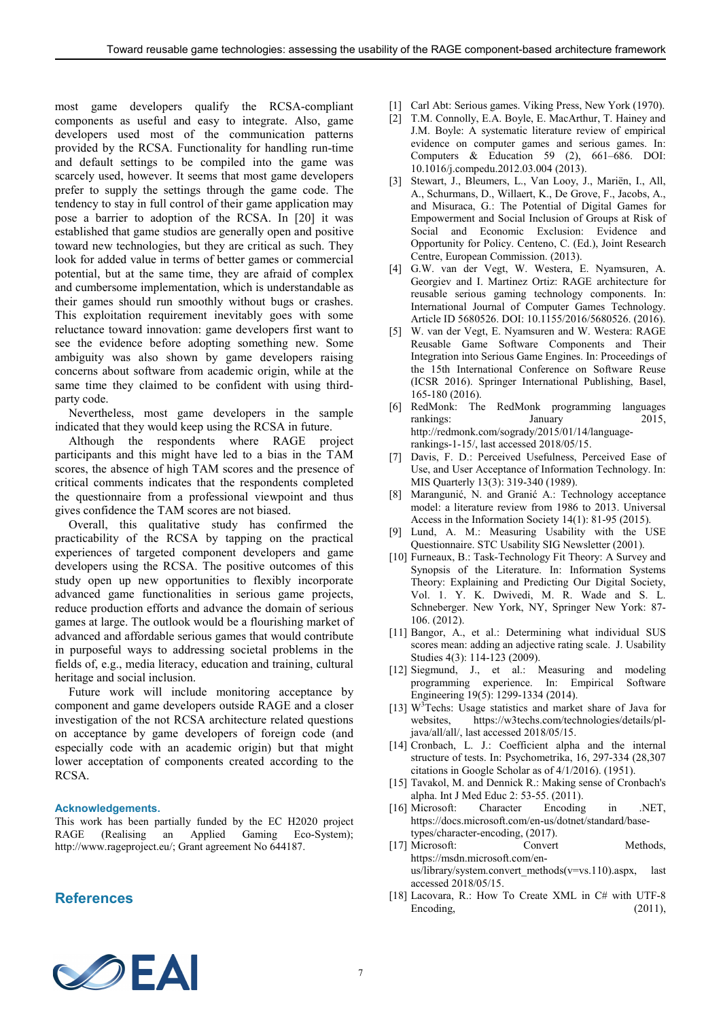most game developers qualify the RCSA-compliant components as useful and easy to integrate. Also, game developers used most of the communication patterns provided by the RCSA. Functionality for handling run-time and default settings to be compiled into the game was scarcely used, however. It seems that most game developers prefer to supply the settings through the game code. The tendency to stay in full control of their game application may pose a barrier to adoption of the RCSA. In [20] it was established that game studios are generally open and positive toward new technologies, but they are critical as such. They look for added value in terms of better games or commercial potential, but at the same time, they are afraid of complex and cumbersome implementation, which is understandable as their games should run smoothly without bugs or crashes. This exploitation requirement inevitably goes with some reluctance toward innovation: game developers first want to see the evidence before adopting something new. Some ambiguity was also shown by game developers raising concerns about software from academic origin, while at the same time they claimed to be confident with using thirdparty code.

Nevertheless, most game developers in the sample indicated that they would keep using the RCSA in future.

Although the respondents where RAGE project participants and this might have led to a bias in the TAM scores, the absence of high TAM scores and the presence of critical comments indicates that the respondents completed the questionnaire from a professional viewpoint and thus gives confidence the TAM scores are not biased.

Overall, this qualitative study has confirmed the practicability of the RCSA by tapping on the practical experiences of targeted component developers and game developers using the RCSA. The positive outcomes of this study open up new opportunities to flexibly incorporate advanced game functionalities in serious game projects, reduce production efforts and advance the domain of serious games at large. The outlook would be a flourishing market of advanced and affordable serious games that would contribute in purposeful ways to addressing societal problems in the fields of, e.g., media literacy, education and training, cultural heritage and social inclusion.

Future work will include monitoring acceptance by component and game developers outside RAGE and a closer investigation of the not RCSA architecture related questions on acceptance by game developers of foreign code (and especially code with an academic origin) but that might lower acceptation of components created according to the RCSA.

#### **Acknowledgements.**

This work has been partially funded by the EC H2020 project RAGE (Realising an Applied Gaming Eco-System); an Applied Gaming Eco-System); http://www.rageproject.eu/; Grant agreement No 644187.

#### **References**

- [1] Carl Abt: Serious games. Viking Press, New York (1970).
- [2] T.M. Connolly, E.A. Boyle, E. MacArthur, T. Hainey and J.M. Boyle: A systematic literature review of empirical evidence on computer games and serious games. In: Computers & Education 59 (2), 661–686. DOI: 10.1016/j.compedu.2012.03.004 (2013).
- [3] Stewart, J., Bleumers, L., Van Looy, J., Mariën, I., All, A., Schurmans, D., Willaert, K., De Grove, F., Jacobs, A., and Misuraca, G.: The Potential of Digital Games for Empowerment and Social Inclusion of Groups at Risk of Social and Economic Exclusion: Evidence and Opportunity for Policy. Centeno, C. (Ed.), Joint Research Centre, European Commission. (2013).
- [4] G.W. van der Vegt, W. Westera, E. Nyamsuren, A. Georgiev and I. Martinez Ortiz: RAGE architecture for reusable serious gaming technology components. In: International Journal of Computer Games Technology. Article ID 5680526. DOI: 10.1155/2016/5680526. (2016).
- [5] W. van der Vegt, E. Nyamsuren and W. Westera: RAGE Reusable Game Software Components and Their Integration into Serious Game Engines. In: Proceedings of the 15th International Conference on Software Reuse (ICSR 2016). Springer International Publishing, Basel, 165-180 (2016).
- [6] RedMonk: The RedMonk programming languages rankings: January 2015, [http://redmonk.com/sogrady/2015/01/14/language](http://redmonk.com/sogrady/2015/01/14/language-rankings-1-15/)[rankings-1-15/,](http://redmonk.com/sogrady/2015/01/14/language-rankings-1-15/) last accessed 2018/05/15.
- [7] Davis, F. D.: Perceived Usefulness, Perceived Ease of Use, and User Acceptance of Information Technology. In: MIS Quarterly 13(3): 319-340 (1989).
- [8] Marangunić, N. and Granić A.: Technology acceptance model: a literature review from 1986 to 2013. Universal Access in the Information Society 14(1): 81-95 (2015).
- [9] Lund, A. M.: Measuring Usability with the USE Questionnaire. STC Usability SIG Newsletter (2001).
- [10] Furneaux, B.: Task-Technology Fit Theory: A Survey and Synopsis of the Literature. In: Information Systems Theory: Explaining and Predicting Our Digital Society, Vol. 1. Y. K. Dwivedi, M. R. Wade and S. L. Schneberger. New York, NY, Springer New York: 87- 106. (2012).
- [11] Bangor, A., et al.: Determining what individual SUS scores mean: adding an adjective rating scale. J. Usability Studies 4(3): 114-123 (2009).
- [12] Siegmund, J., et al.: Measuring and modeling programming experience. In: Empirical Software Engineering 19(5): 1299-1334 (2014).
- [13] W<sup>3</sup>Techs: Usage statistics and market share of Java for websites, https://w3techs.com/technologies/details/pljava/all/all/, last accessed 2018/05/15.
- [14] Cronbach, L. J.: Coefficient alpha and the internal structure of tests. In: Psychometrika, 16, 297-334 (28,307 citations in Google Scholar as of 4/1/2016). (1951).
- [15] Tavakol, M. and Dennick R.: Making sense of Cronbach's alpha. Int J Med Educ 2: 53-55. (2011).
- [16] Microsoft: Character Encoding in .NET, https://docs.microsoft.com/en-us/dotnet/standard/basetypes/character-encoding, (2017).
- [17] Microsoft: Convert Methods, [https://msdn.microsoft.com/en](https://msdn.microsoft.com/en-us/library/system.convert_methods(v=vs.110).aspx)[us/library/system.convert\\_methods\(v=vs.110\).aspx,](https://msdn.microsoft.com/en-us/library/system.convert_methods(v=vs.110).aspx) last accessed 2018/05/15.
- [18] Lacovara, R.: How To Create XML in C# with UTF-8 Encoding, (2011),